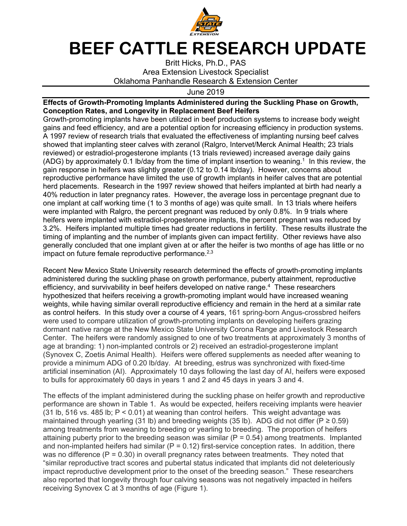

## **BEEF CATTLE RESEARCH UPDATE**

Britt Hicks, Ph.D., PAS Area Extension Livestock Specialist Oklahoma Panhandle Research & Extension Center

June 2019

## **Effects of Growth-Promoting Implants Administered during the Suckling Phase on Growth, Conception Rates, and Longevity in Replacement Beef Heifers**

Growth-promoting implants have been utilized in beef production systems to increase body weight gains and feed efficiency, and are a potential option for increasing efficiency in production systems. A 1997 review of research trials that evaluated the effectiveness of implanting nursing beef calves showed that implanting steer calves with zeranol (Ralgro, Intervet/Merck Animal Health; 23 trials reviewed) or estradiol-progesterone implants (13 trials reviewed) increased average daily gains (ADG) by approximately 0.1 lb/day from the time of implant insertion to weaning.<sup>1</sup> In this review, the gain response in heifers was slightly greater (0.12 to 0.14 lb/day). However, concerns about reproductive performance have limited the use of growth implants in heifer calves that are potential herd placements. Research in the 1997 review showed that heifers implanted at birth had nearly a 40% reduction in later pregnancy rates. However, the average loss in percentage pregnant due to one implant at calf working time (1 to 3 months of age) was quite small. In 13 trials where heifers were implanted with Ralgro, the percent pregnant was reduced by only 0.8%. In 9 trials where heifers were implanted with estradiol-progesterone implants, the percent pregnant was reduced by 3.2%. Heifers implanted multiple times had greater reductions in fertility. These results illustrate the timing of implanting and the number of implants given can impact fertility. Other reviews have also generally concluded that one implant given at or after the heifer is two months of age has little or no impact on future female reproductive performance. $2,3$ 

Recent New Mexico State University research determined the effects of growth-promoting implants administered during the suckling phase on growth performance, puberty attainment, reproductive efficiency, and survivability in beef heifers developed on native range.<sup>4</sup> These researchers hypothesized that heifers receiving a growth-promoting implant would have increased weaning weights, while having similar overall reproductive efficiency and remain in the herd at a similar rate as control heifers. In this study over a course of 4 years, 161 spring-born Angus-crossbred heifers were used to compare utilization of growth-promoting implants on developing heifers grazing dormant native range at the New Mexico State University Corona Range and Livestock Research Center. The heifers were randomly assigned to one of two treatments at approximately 3 months of age at branding: 1) non-implanted controls or 2) received an estradiol-progesterone implant (Synovex C, Zoetis Animal Health). Heifers were offered supplements as needed after weaning to provide a minimum ADG of 0.20 lb/day. At breeding, estrus was synchronized with fixed-time artificial insemination (AI). Approximately 10 days following the last day of AI, heifers were exposed to bulls for approximately 60 days in years 1 and 2 and 45 days in years 3 and 4.

The effects of the implant administered during the suckling phase on heifer growth and reproductive performance are shown in Table 1. As would be expected, heifers receiving implants were heavier (31 lb, 516 vs. 485 lb; P < 0.01) at weaning than control heifers. This weight advantage was maintained through yearling (31 lb) and breeding weights (35 lb). ADG did not differ ( $P \ge 0.59$ ) among treatments from weaning to breeding or yearling to breeding. The proportion of heifers attaining puberty prior to the breeding season was similar ( $P = 0.54$ ) among treatments. Implanted and non-implanted heifers had similar ( $P = 0.12$ ) first-service conception rates. In addition, there was no difference  $(P = 0.30)$  in overall pregnancy rates between treatments. They noted that "similar reproductive tract scores and pubertal status indicated that implants did not deleteriously impact reproductive development prior to the onset of the breeding season." These researchers also reported that longevity through four calving seasons was not negatively impacted in heifers receiving Synovex C at 3 months of age (Figure 1).